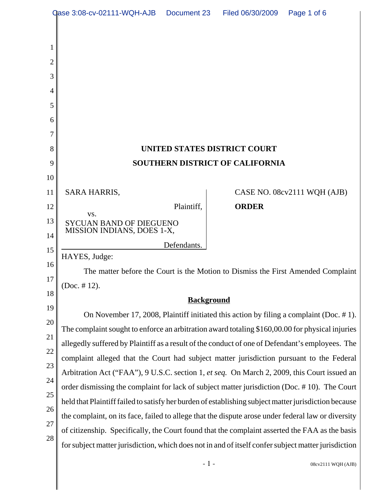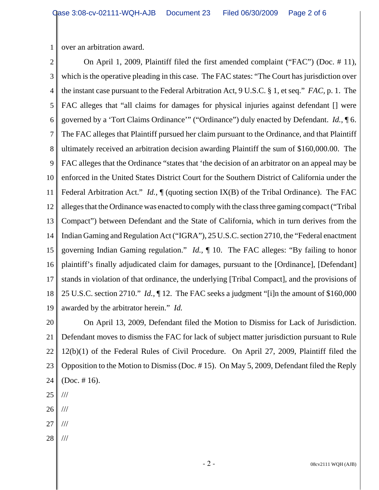1 over an arbitration award.

2 3 4 5 6 7 8 9 10 11 12 13 14 15 16 17 18 19 On April 1, 2009, Plaintiff filed the first amended complaint ("FAC") (Doc. # 11), which is the operative pleading in this case. The FAC states: "The Court has jurisdiction over the instant case pursuant to the Federal Arbitration Act, 9 U.S.C. § 1, et seq." *FAC,* p. 1. The FAC alleges that "all claims for damages for physical injuries against defendant [] were governed by a 'Tort Claims Ordinance'" ("Ordinance") duly enacted by Defendant. *Id.,* ¶ 6. The FAC alleges that Plaintiff pursued her claim pursuant to the Ordinance, and that Plaintiff ultimately received an arbitration decision awarding Plaintiff the sum of \$160,000.00. The FAC alleges that the Ordinance "states that 'the decision of an arbitrator on an appeal may be enforced in the United States District Court for the Southern District of California under the Federal Arbitration Act." *Id.*,  $\P$  (quoting section IX(B) of the Tribal Ordinance). The FAC alleges that the Ordinance was enacted to comply with the class three gaming compact ("Tribal Compact") between Defendant and the State of California, which in turn derives from the Indian Gaming and Regulation Act ("IGRA"), 25 U.S.C. section 2710, the "Federal enactment governing Indian Gaming regulation." *Id.,* ¶ 10. The FAC alleges: "By failing to honor plaintiff's finally adjudicated claim for damages, pursuant to the [Ordinance], [Defendant] stands in violation of that ordinance, the underlying [Tribal Compact], and the provisions of 25 U.S.C. section 2710." *Id.,* ¶ 12. The FAC seeks a judgment "[i]n the amount of \$160,000 awarded by the arbitrator herein." *Id.* 

20 21 22 23 24 On April 13, 2009, Defendant filed the Motion to Dismiss for Lack of Jurisdiction. Defendant moves to dismiss the FAC for lack of subject matter jurisdiction pursuant to Rule 12(b)(1) of the Federal Rules of Civil Procedure. On April 27, 2009, Plaintiff filed the Opposition to the Motion to Dismiss (Doc. # 15). On May 5, 2009, Defendant filed the Reply (Doc. # 16).

- 25 ///
- 26 ///
- 27 ///
- 28 ///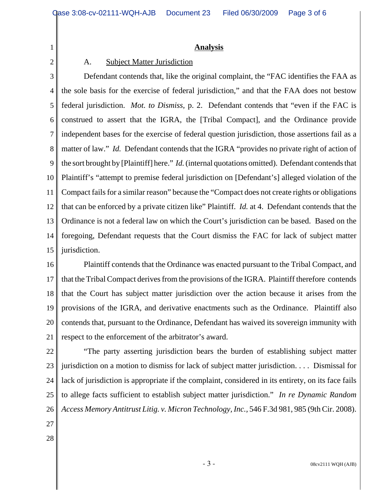## **Analysis**

## A. Subject Matter Jurisdiction

3 4 5 6 7 8 9 10 11 12 13 14 15 Defendant contends that, like the original complaint, the "FAC identifies the FAA as the sole basis for the exercise of federal jurisdiction," and that the FAA does not bestow federal jurisdiction. *Mot. to Dismiss,* p. 2. Defendant contends that "even if the FAC is construed to assert that the IGRA, the [Tribal Compact], and the Ordinance provide independent bases for the exercise of federal question jurisdiction, those assertions fail as a matter of law." *Id.* Defendant contends that the IGRA "provides no private right of action of the sort brought by [Plaintiff] here." *Id.* (internal quotations omitted). Defendant contends that Plaintiff's "attempt to premise federal jurisdiction on [Defendant's] alleged violation of the Compact fails for a similar reason" because the "Compact does not create rights or obligations that can be enforced by a private citizen like" Plaintiff. *Id.* at 4. Defendant contends that the Ordinance is not a federal law on which the Court's jurisdiction can be based. Based on the foregoing, Defendant requests that the Court dismiss the FAC for lack of subject matter jurisdiction.

16 17 18 19 20 21 Plaintiff contends that the Ordinance was enacted pursuant to the Tribal Compact, and that the Tribal Compact derives from the provisions of the IGRA. Plaintiff therefore contends that the Court has subject matter jurisdiction over the action because it arises from the provisions of the IGRA, and derivative enactments such as the Ordinance. Plaintiff also contends that, pursuant to the Ordinance, Defendant has waived its sovereign immunity with respect to the enforcement of the arbitrator's award.

- 22 23 24 25 26 "The party asserting jurisdiction bears the burden of establishing subject matter jurisdiction on a motion to dismiss for lack of subject matter jurisdiction. . . . Dismissal for lack of jurisdiction is appropriate if the complaint, considered in its entirety, on its face fails to allege facts sufficient to establish subject matter jurisdiction." *In re Dynamic Random Access Memory Antitrust Litig. v. Micron Technology, Inc.,* 546 F.3d 981, 985 (9th Cir. 2008).
- 27

1

2

28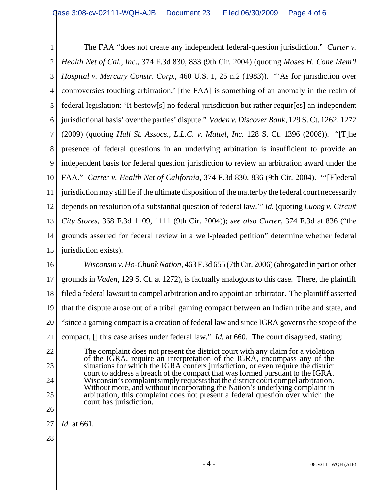1 2 3 4 5 6 7 8 9 10 11 12 13 14 15 The FAA "does not create any independent federal-question jurisdiction." *Carter v. Health Net of Cal., Inc.,* 374 F.3d 830, 833 (9th Cir. 2004) (quoting *Moses H. Cone Mem'l Hospital v. Mercury Constr. Corp.,* 460 U.S. 1, 25 n.2 (1983)). "'As for jurisdiction over controversies touching arbitration,' [the FAA] is something of an anomaly in the realm of federal legislation: 'It bestow[s] no federal jurisdiction but rather requir[es] an independent jurisdictional basis' over the parties' dispute." *Vaden v. Discover Bank,* 129 S. Ct. 1262, 1272 (2009) (quoting *Hall St. Assocs., L.L.C. v. Mattel, Inc.* 128 S. Ct. 1396 (2008)). "[T]he presence of federal questions in an underlying arbitration is insufficient to provide an independent basis for federal question jurisdiction to review an arbitration award under the FAA." *Carter v. Health Net of California,* 374 F.3d 830, 836 (9th Cir. 2004). "'[F]ederal jurisdiction may still lie if the ultimate disposition of the matter by the federal court necessarily depends on resolution of a substantial question of federal law.'" *Id.* (quoting *Luong v. Circuit City Stores,* 368 F.3d 1109, 1111 (9th Cir. 2004)); *see also Carter,* 374 F.3d at 836 ("the grounds asserted for federal review in a well-pleaded petition" determine whether federal jurisdiction exists).

16 17 18 19 20 21 22 23 24 *Wisconsin v. Ho-Chunk Nation,* 463 F.3d 655 (7th Cir. 2006) (abrogated in part on other grounds in *Vaden,* 129 S. Ct. at 1272)*,* is factually analogous to this case. There, the plaintiff filed a federal lawsuit to compel arbitration and to appoint an arbitrator. The plaintiff asserted that the dispute arose out of a tribal gaming compact between an Indian tribe and state, and "since a gaming compact is a creation of federal law and since IGRA governs the scope of the compact, [] this case arises under federal law." *Id.* at 660. The court disagreed, stating: The complaint does not present the district court with any claim for a violation of the IGRA, require an interpretation of the IGRA, encompass any of the situations for which the IGRA confers jurisdiction, or even require the district court to address a breach of the compact that was formed pursuant to the IGRA. Wisconsin's complaint simply requests that the district court compel arbitration. Without more, and without incorporating the Nation's underlying complaint in

- 25
- 26

27 *Id.* at 661.

court has jurisdiction.

28

arbitration, this complaint does not present a federal question over which the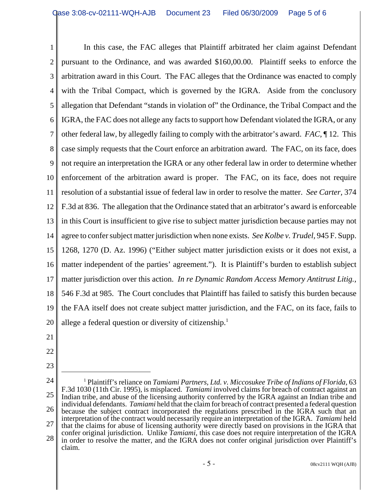1 2 3 4 5 6 7 8 9 10 11 12 13 14 15 16 17 18 19 20 In this case, the FAC alleges that Plaintiff arbitrated her claim against Defendant pursuant to the Ordinance, and was awarded \$160,00.00. Plaintiff seeks to enforce the arbitration award in this Court. The FAC alleges that the Ordinance was enacted to comply with the Tribal Compact, which is governed by the IGRA. Aside from the conclusory allegation that Defendant "stands in violation of" the Ordinance, the Tribal Compact and the IGRA, the FAC does not allege any facts to support how Defendant violated the IGRA, or any other federal law, by allegedly failing to comply with the arbitrator's award. *FAC,* ¶ 12. This case simply requests that the Court enforce an arbitration award. The FAC, on its face, does not require an interpretation the IGRA or any other federal law in order to determine whether enforcement of the arbitration award is proper. The FAC, on its face, does not require resolution of a substantial issue of federal law in order to resolve the matter. *See Carter,* 374 F.3d at 836. The allegation that the Ordinance stated that an arbitrator's award is enforceable in this Court is insufficient to give rise to subject matter jurisdiction because parties may not agree to confer subject matter jurisdiction when none exists. *See Kolbe v. Trudel,* 945 F. Supp. 1268, 1270 (D. Az. 1996) ("Either subject matter jurisdiction exists or it does not exist, a matter independent of the parties' agreement."). It is Plaintiff's burden to establish subject matter jurisdiction over this action. *In re Dynamic Random Access Memory Antitrust Litig.,* 546 F.3d at 985. The Court concludes that Plaintiff has failed to satisfy this burden because the FAA itself does not create subject matter jurisdiction, and the FAC, on its face, fails to allege a federal question or diversity of citizenship.<sup>1</sup>

- 21
- 22
- 23
- 24
- 25 26 27 28 <sup>1</sup> Plaintiff's reliance on *Tamiami Partners, Ltd. v. Miccosukee Tribe of Indians of Florida, 63* F.3d 1030 (11th Cir. 1995), is misplaced. *Tamiami* involved claims for breach of contract against an Indian tribe, and abuse of the licensing authority conferred by the IGRA against an Indian tribe and individual defendants. *Tamiami* held that the claim for breach of contract presented a federal question because the subject contract incorporated the regulations prescribed in the IGRA such that an interpretation of the contract would necessarily require an interpretation of the IGRA. *Tamiami* held that the claims for abuse of licensing authority were directly based on provisions in the IGRA that confer original jurisdiction. Unlike *Tamiami,* this case does not require interpretation of the IGRA in order to resolve the matter, and the IGRA does not confer original jurisdiction over Plaintiff's claim.